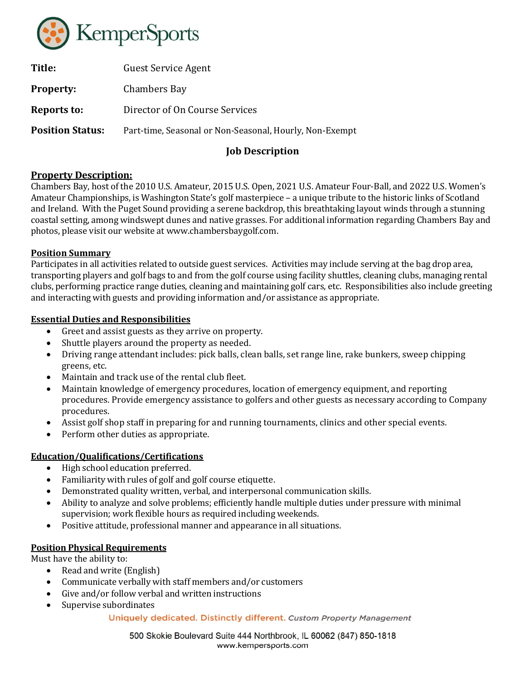

| Title:                  | <b>Guest Service Agent</b>                              |
|-------------------------|---------------------------------------------------------|
| <b>Property:</b>        | Chambers Bay                                            |
| Reports to:             | Director of On Course Services                          |
| <b>Position Status:</b> | Part-time, Seasonal or Non-Seasonal, Hourly, Non-Exempt |
|                         |                                                         |

# Job Description

## Property Description:

Chambers Bay, host of the 2010 U.S. Amateur, 2015 U.S. Open, 2021 U.S. Amateur Four-Ball, and 2022 U.S. Women's Amateur Championships, is Washington State's golf masterpiece – a unique tribute to the historic links of Scotland and Ireland. With the Puget Sound providing a serene backdrop, this breathtaking layout winds through a stunning coastal setting, among windswept dunes and native grasses. For additional information regarding Chambers Bay and photos, please visit our website at www.chambersbaygolf.com.

### Position Summary

Participates in all activities related to outside guest services. Activities may include serving at the bag drop area, transporting players and golf bags to and from the golf course using facility shuttles, cleaning clubs, managing rental clubs, performing practice range duties, cleaning and maintaining golf cars, etc. Responsibilities also include greeting and interacting with guests and providing information and/or assistance as appropriate.

### Essential Duties and Responsibilities

- Greet and assist guests as they arrive on property.
- Shuttle players around the property as needed.
- Driving range attendant includes: pick balls, clean balls, set range line, rake bunkers, sweep chipping greens, etc.
- Maintain and track use of the rental club fleet.
- Maintain knowledge of emergency procedures, location of emergency equipment, and reporting procedures. Provide emergency assistance to golfers and other guests as necessary according to Company procedures.
- Assist golf shop staff in preparing for and running tournaments, clinics and other special events.
- Perform other duties as appropriate.

## Education/Qualifications/Certifications

- High school education preferred.
- Familiarity with rules of golf and golf course etiquette.
- Demonstrated quality written, verbal, and interpersonal communication skills.
- Ability to analyze and solve problems; efficiently handle multiple duties under pressure with minimal supervision; work flexible hours as required including weekends.
- Positive attitude, professional manner and appearance in all situations.

### Position Physical Requirements

Must have the ability to:

- Read and write (English)
- Communicate verbally with staff members and/or customers
- Give and/or follow verbal and written instructions
- Supervise subordinates

#### Uniquely dedicated. Distinctly different. Custom Property Management

500 Skokie Boulevard Suite 444 Northbrook, IL 60062 (847) 850-1818 www.kempersports.com